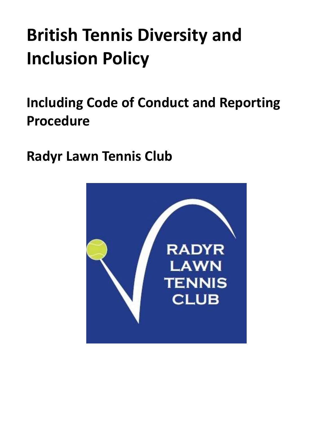# **British Tennis Diversity and Inclusion Policy**

<span id="page-0-0"></span>**Including Code of Conduct and Reporting Procedure**

**Radyr Lawn Tennis Club**

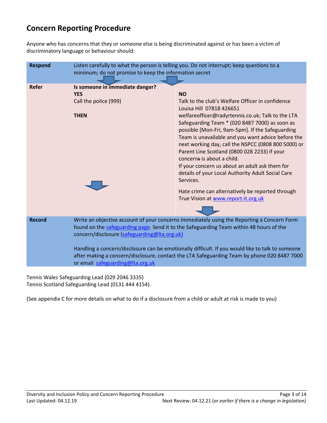# **Concern Reporting Procedure**

Anyone who has concerns that they or someone else is being discriminated against or has been a victim of discriminatory language or behaviour should:

| <b>Respond</b> | Listen carefully to what the person is telling you. Do not interrupt; keep questions to a<br>minimum; do not promise to keep the information secret                                                                                                                                                                                                                                                                                                                          |                                                                                                                                                                                                                                                                                                                                                                                                                                                                                                                                                                                                                                                                |
|----------------|------------------------------------------------------------------------------------------------------------------------------------------------------------------------------------------------------------------------------------------------------------------------------------------------------------------------------------------------------------------------------------------------------------------------------------------------------------------------------|----------------------------------------------------------------------------------------------------------------------------------------------------------------------------------------------------------------------------------------------------------------------------------------------------------------------------------------------------------------------------------------------------------------------------------------------------------------------------------------------------------------------------------------------------------------------------------------------------------------------------------------------------------------|
| <b>Refer</b>   | Is someone in immediate danger?<br><b>YES</b><br>Call the police (999)<br><b>THEN</b>                                                                                                                                                                                                                                                                                                                                                                                        | <b>NO</b><br>Talk to the club's Welfare Officer in confidence<br>Louisa Hill 07818 426651<br>welfareofficer@radyrtennis.co.uk; Talk to the LTA<br>Safeguarding Team * (020 8487 7000) as soon as<br>possible [Mon-Fri, 9am-5pm]. If the Safeguarding<br>Team is unavailable and you want advice before the<br>next working day, call the NSPCC (0808 800 5000) or<br>Parent Line Scotland (0800 028 2233) if your<br>concerns is about a child.<br>If your concern us about an adult ask them for<br>details of your Local Authority Adult Social Care<br>Services.<br>Hate crime can alternatively be reported through<br>True Vision at www.report-it.org.uk |
| <b>Record</b>  | Write an objective account of your concerns immediately using the Reporting a Concern Form<br>found on the safeguarding page. Send it to the Safeguarding Team within 48 hours of the<br>concern/disclosure (safeguarding@Ita.org.uk)<br>Handling a concern/disclosure can be emotionally difficult. If you would like to talk to someone<br>after making a concern/disclosure, contact the LTA Safeguarding Team by phone 020 8487 7000<br>or email safeguarding@Ita.org.uk |                                                                                                                                                                                                                                                                                                                                                                                                                                                                                                                                                                                                                                                                |

Tennis Wales Safeguarding Lead (029 2046 3335) Tennis Scotland Safeguarding Lead (0131 444 4154).

(See appendix C for more details on what to do if a disclosure from a child or adult at risk is made to you)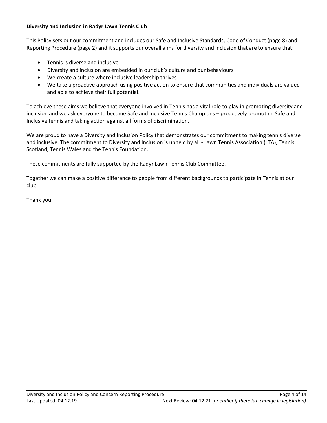# **Diversity and Inclusion in Radyr Lawn Tennis Club**

This Policy sets out our commitment and includes our Safe and Inclusive Standards, Code of Conduct (page 8) and Reporting Procedure (page 2) and it supports our overall aims for diversity and inclusion that are to ensure that:

- Tennis is diverse and inclusive
- Diversity and inclusion are embedded in our club's culture and our behaviours
- We create a culture where inclusive leadership thrives
- We take a proactive approach using positive action to ensure that communities and individuals are valued and able to achieve their full potential.

To achieve these aims we believe that everyone involved in Tennis has a vital role to play in promoting diversity and inclusion and we ask everyone to become Safe and Inclusive Tennis Champions – proactively promoting Safe and Inclusive tennis and taking action against all forms of discrimination.

We are proud to have a Diversity and Inclusion Policy that demonstrates our commitment to making tennis diverse and inclusive. The commitment to Diversity and Inclusion is upheld by all - Lawn Tennis Association (LTA), Tennis Scotland, Tennis Wales and the Tennis Foundation.

These commitments are fully supported by the Radyr Lawn Tennis Club Committee.

Together we can make a positive difference to people from different backgrounds to participate in Tennis at our club.

Thank you.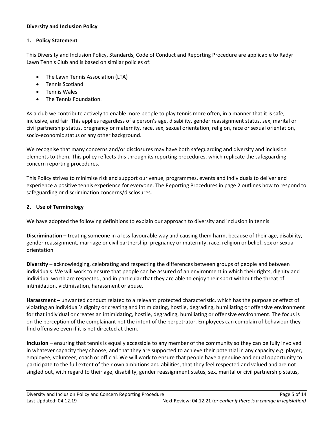## **Diversity and Inclusion Policy**

#### **1. Policy Statement**

This Diversity and Inclusion Policy, Standards, Code of Conduct and Reporting Procedure are applicable to Radyr Lawn Tennis Club and is based on similar policies of:

- The Lawn Tennis Association (LTA)
- Tennis Scotland
- Tennis Wales
- The Tennis Foundation.

As a club we contribute actively to enable more people to play tennis more often, in a manner that it is safe, inclusive, and fair. This applies regardless of a person's age, disability, gender reassignment status, sex, marital or civil partnership status, pregnancy or maternity, race, sex, sexual orientation, religion, race or sexual orientation, socio-economic status or any other background.

We recognise that many concerns and/or disclosures may have both safeguarding and diversity and inclusion elements to them. This policy reflects this through its reporting procedures, which replicate the safeguarding concern reporting procedures.

This Policy strives to minimise risk and support our venue, programmes, events and individuals to deliver and experience a positive tennis experience for everyone. The Reporting Procedures in page 2 outlines how to respond to safeguarding or discrimination concerns/disclosures.

## **2. Use of Terminology**

We have adopted the following definitions to explain our approach to diversity and inclusion in tennis:

**Discrimination** – treating someone in a less favourable way and causing them harm, because of their age, disability, gender reassignment, marriage or civil partnership, pregnancy or maternity, race, religion or belief, sex or sexual orientation

**Diversity** – acknowledging, celebrating and respecting the differences between groups of people and between individuals. We will work to ensure that people can be assured of an environment in which their rights, dignity and individual worth are respected, and in particular that they are able to enjoy their sport without the threat of intimidation, victimisation, harassment or abuse.

**Harassment** – unwanted conduct related to a relevant protected characteristic, which has the purpose or effect of violating an individual's dignity or creating and intimidating, hostile, degrading, humiliating or offensive environment for that individual or creates an intimidating, hostile, degrading, humiliating or offensive environment. The focus is on the perception of the complainant not the intent of the perpetrator. Employees can complain of behaviour they find offensive even if it is not directed at them.

**Inclusion** – ensuring that tennis is equally accessible to any member of the community so they can be fully involved in whatever capacity they choose; and that they are supported to achieve their potential in any capacity e.g. player, employee, volunteer, coach or official. We will work to ensure that people have a genuine and equal opportunity to participate to the full extent of their own ambitions and abilities, that they feel respected and valued and are not singled out, with regard to their age, disability, gender reassignment status, sex, marital or civil partnership status,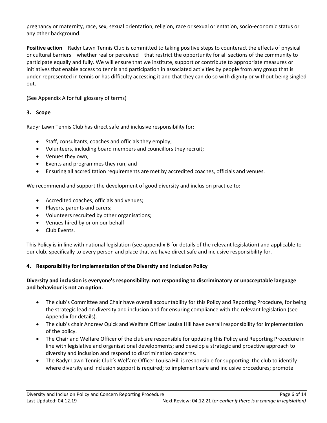pregnancy or maternity, race, sex, sexual orientation, religion, race or sexual orientation, socio-economic status or any other background.

**Positive action** – Radyr Lawn Tennis Club is committed to taking positive steps to counteract the effects of physical or cultural barriers – whether real or perceived – that restrict the opportunity for all sections of the community to participate equally and fully. We will ensure that we institute, support or contribute to appropriate measures or initiatives that enable access to tennis and participation in associated activities by people from any group that is under-represented in tennis or has difficulty accessing it and that they can do so with dignity or without being singled out.

(See Appendix A for full glossary of terms)

# **3. Scope**

Radyr Lawn Tennis Club has direct safe and inclusive responsibility for:

- Staff, consultants, coaches and officials they employ;
- Volunteers, including board members and councillors they recruit;
- Venues they own;
- Events and programmes they run; and
- Ensuring all accreditation requirements are met by accredited coaches, officials and venues.

We recommend and support the development of good diversity and inclusion practice to:

- Accredited coaches, officials and venues;
- Players, parents and carers;
- Volunteers recruited by other organisations;
- Venues hired by or on our behalf
- Club Events.

This Policy is in line with national legislation (see appendix B for details of the relevant legislation) and applicable to our club, specifically to every person and place that we have direct safe and inclusive responsibility for.

## **4. Responsibility for implementation of the Diversity and Inclusion Policy**

# **Diversity and inclusion is everyone's responsibility: not responding to discriminatory or unacceptable language and behaviour is not an option.**

- The club's Committee and Chair have overall accountability for this Policy and Reporting Procedure, for being the strategic lead on diversity and inclusion and for ensuring compliance with the relevant legislation (see Appendix for details).
- The club's chair Andrew Quick and Welfare Officer Louisa Hill have overall responsibility for implementation of the policy.
- The Chair and Welfare Officer of the club are responsible for updating this Policy and Reporting Procedure in line with legislative and organisational developments; and develop a strategic and proactive approach to diversity and inclusion and respond to discrimination concerns.
- The Radyr Lawn Tennis Club's Welfare Officer Louisa Hill is responsible for supporting the club to identify where diversity and inclusion support is required; to implement safe and inclusive procedures; promote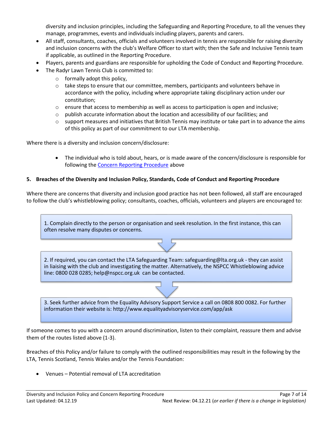diversity and inclusion principles, including the Safeguarding and Reporting Procedure, to all the venues they manage, programmes, events and individuals including players, parents and carers.

- All staff, consultants, coaches, officials and volunteers involved in tennis are responsible for raising diversity and inclusion concerns with the club's Welfare Officer to start with; then the Safe and Inclusive Tennis team if applicable, as outlined in the Reporting Procedure.
- Players, parents and guardians are responsible for upholding the Code of Conduct and Reporting Procedure.
- The Radyr Lawn Tennis Club is committed to:
	- o formally adopt this policy,
	- $\circ$  take steps to ensure that our committee, members, participants and volunteers behave in accordance with the policy, including where appropriate taking disciplinary action under our constitution;
	- $\circ$  ensure that access to membership as well as access to participation is open and inclusive;
	- $\circ$  publish accurate information about the location and accessibility of our facilities; and
	- $\circ$  support measures and initiatives that British Tennis may institute or take part in to advance the aims of this policy as part of our commitment to our LTA membership.

Where there is a diversity and inclusion concern/disclosure:

 The individual who is told about, hears, or is made aware of the concern/disclosure is responsible for following the [Concern Reporting Procedure](#page-0-0) above

## **5. Breaches of the Diversity and Inclusion Policy, Standards, Code of Conduct and Reporting Procedure**

Where there are concerns that diversity and inclusion good practice has not been followed, all staff are encouraged to follow the club's whistleblowing policy; consultants, coaches, officials, volunteers and players are encouraged to:

1. Complain directly to the person or organisation and seek resolution. In the first instance, this can often resolve many disputes or concerns.

2. If required, you can contact the LTA Safeguarding Team: safeguarding@lta.org.uk - they can assist in liaising with the club and investigating the matter. Alternatively, the NSPCC Whistleblowing advice line: 0800 028 0285; help@nspcc.org.uk can be contacted.

3. Seek further advice from the Equality Advisory Support Service a call on 0808 800 0082. For further information their website is: http://www.equalityadvisoryservice.com/app/ask

If someone comes to you with a concern around discrimination, listen to their complaint, reassure them and advise them of the routes listed above (1-3).

Breaches of this Policy and/or failure to comply with the outlined responsibilities may result in the following by the LTA, Tennis Scotland, Tennis Wales and/or the Tennis Foundation:

Venues – Potential removal of LTA accreditation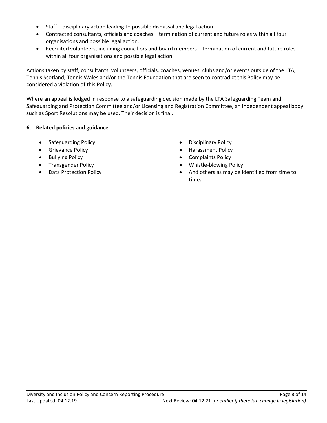- Staff disciplinary action leading to possible dismissal and legal action.
- Contracted consultants, officials and coaches termination of current and future roles within all four organisations and possible legal action.
- Recruited volunteers, including councillors and board members termination of current and future roles within all four organisations and possible legal action.

Actions taken by staff, consultants, volunteers, officials, coaches, venues, clubs and/or events outside of the LTA, Tennis Scotland, Tennis Wales and/or the Tennis Foundation that are seen to contradict this Policy may be considered a violation of this Policy.

Where an appeal is lodged in response to a safeguarding decision made by the LTA Safeguarding Team and Safeguarding and Protection Committee and/or Licensing and Registration Committee, an independent appeal body such as Sport Resolutions may be used. Their decision is final.

# **6. Related policies and guidance**

- Safeguarding Policy **Disciplinary Policy Disciplinary Policy**
- 
- 
- 
- 
- 
- Grievance Policy **Access 1998** Larassment Policy
- Bullying Policy **Complaints Policy Complaints Policy Complaints Policy**
- Transgender Policy **Whistle-blowing Policy Whistle-blowing Policy**
- Data Protection Policy **And others as may be identified from time to**  $\bullet$  And others as may be identified from time to time.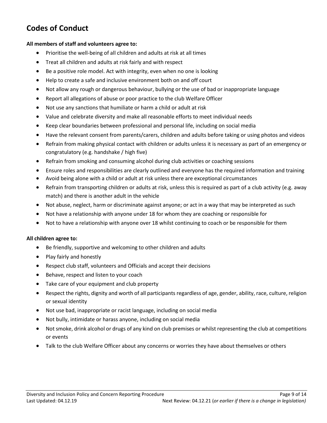# **Codes of Conduct**

#### **All members of staff and volunteers agree to:**

- Prioritise the well-being of all children and adults at risk at all times
- Treat all children and adults at risk fairly and with respect
- Be a positive role model. Act with integrity, even when no one is looking
- Help to create a safe and inclusive environment both on and off court
- Not allow any rough or dangerous behaviour, bullying or the use of bad or inappropriate language
- Report all allegations of abuse or poor practice to the club Welfare Officer
- Not use any sanctions that humiliate or harm a child or adult at risk
- Value and celebrate diversity and make all reasonable efforts to meet individual needs
- Keep clear boundaries between professional and personal life, including on social media
- Have the relevant consent from parents/carers, children and adults before taking or using photos and videos
- Refrain from making physical contact with children or adults unless it is necessary as part of an emergency or congratulatory (e.g. handshake / high five)
- Refrain from smoking and consuming alcohol during club activities or coaching sessions
- Ensure roles and responsibilities are clearly outlined and everyone has the required information and training
- Avoid being alone with a child or adult at risk unless there are exceptional circumstances
- Refrain from transporting children or adults at risk, unless this is required as part of a club activity (e.g. away match) and there is another adult in the vehicle
- Not abuse, neglect, harm or discriminate against anyone; or act in a way that may be interpreted as such
- Not have a relationship with anyone under 18 for whom they are coaching or responsible for
- Not to have a relationship with anyone over 18 whilst continuing to coach or be responsible for them

## **All children agree to:**

- Be friendly, supportive and welcoming to other children and adults
- Play fairly and honestly
- Respect club staff, volunteers and Officials and accept their decisions
- Behave, respect and listen to your coach
- Take care of your equipment and club property
- Respect the rights, dignity and worth of all participants regardless of age, gender, ability, race, culture, religion or sexual identity
- Not use bad, inappropriate or racist language, including on social media
- Not bully, intimidate or harass anyone, including on social media
- Not smoke, drink alcohol or drugs of any kind on club premises or whilst representing the club at competitions or events
- Talk to the club Welfare Officer about any concerns or worries they have about themselves or others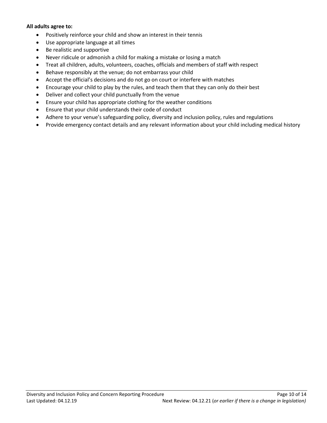#### **All adults agree to:**

- Positively reinforce your child and show an interest in their tennis
- Use appropriate language at all times
- Be realistic and supportive
- Never ridicule or admonish a child for making a mistake or losing a match
- Treat all children, adults, volunteers, coaches, officials and members of staff with respect
- Behave responsibly at the venue; do not embarrass your child
- Accept the official's decisions and do not go on court or interfere with matches
- Encourage your child to play by the rules, and teach them that they can only do their best
- Deliver and collect your child punctually from the venue
- Ensure your child has appropriate clothing for the weather conditions
- Ensure that your child understands their code of conduct
- Adhere to your venue's safeguarding policy, diversity and inclusion policy, rules and regulations
- Provide emergency contact details and any relevant information about your child including medical history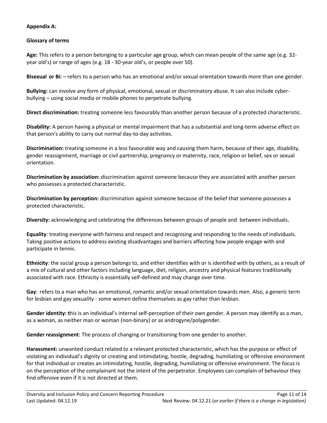# **Appendix A:**

# **Glossary of terms**

**Age:** This refers to a person belonging to a particular age group, which can mean people of the same age (e.g. 32 year old's) or range of ages (e.g. 18 - 30-year old's, or people over 50).

**Bisexual or Bi:** – refers to a person who has an emotional and/or sexual orientation towards more than one gender.

**Bullying:** can involve any form of physical, emotional, sexual or discriminatory abuse. It can also include cyberbullying – using social media or mobile phones to perpetrate bullying.

**Direct discrimination:** treating someone less favourably than another person because of a protected characteristic.

**Disability:** A person having a physical or mental impairment that has a substantial and long-term adverse effect on that person's ability to carry out normal day-to-day activities.

**Discrimination:** treating someone in a less favourable way and causing them harm, because of their age, disability, gender reassignment, marriage or civil partnership, pregnancy or maternity, race, religion or belief, sex or sexual orientation.

**Discrimination by association:** discrimination against someone because they are associated with another person who possesses a protected characteristic.

**Discrimination by perception:** discrimination against someone because of the belief that someone possesses a protected characteristic.

**Diversity:** acknowledging and celebrating the differences between groups of people and between individuals**.**

**Equality**: treating everyone with fairness and respect and recognising and responding to the needs of individuals. Taking positive actions to address existing disadvantages and barriers affecting how people engage with and participate in tennis.

**Ethnicity**: the social group a person belongs to, and either identifies with or is identified with by others, as a result of a mix of cultural and other factors including language, diet, religion, ancestry and physical features traditionally associated with race. Ethnicity is essentially self-defined and may change over time.

**Gay**: refers to a man who has an emotional, romantic and/or sexual orientation towards men. Also, a generic term for lesbian and gay sexuality - some women define themselves as gay rather than lesbian.

**Gender identity: t**his is an individual's internal self-perception of their own gender. A person may identify as a man, as a woman, as neither man or woman (non-binary) or as androgyne/polygender.

**Gender reassignment**: The process of changing or transitioning from one gender to another.

**Harassment:** unwanted conduct related to a relevant protected characteristic, which has the purpose or effect of violating an individual's dignity or creating and intimidating, hostile, degrading, humiliating or offensive environment for that individual or creates an intimidating, hostile, degrading, humiliating or offensive environment. The focus is on the perception of the complainant not the intent of the perpetrator. Employees can complain of behaviour they find offensive even if it is not directed at them.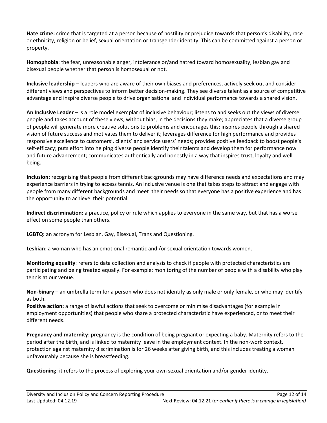**Hate crime:** crime that is targeted at a person because of hostility or prejudice towards that person's disability, race or ethnicity, religion or belief, sexual orientation or transgender identity. This can be committed against a person or property.

**Homophobia**: the fear, unreasonable anger, intolerance or/and hatred toward homosexuality, lesbian gay and bisexual people whether that person is homosexual or not.

**Inclusive leadership** – leaders who are aware of their own biases and preferences, actively seek out and consider different views and perspectives to inform better decision-making. They see diverse talent as a source of competitive advantage and inspire diverse people to drive organisational and individual performance towards a shared vision.

**An Inclusive Leader** – is a role model exemplar of inclusive behaviour; listens to and seeks out the views of diverse people and takes account of these views, without bias, in the decisions they make; appreciates that a diverse group of people will generate more creative solutions to problems and encourages this; inspires people through a shared vision of future success and motivates them to deliver it; leverages difference for high performance and provides responsive excellence to customers', clients' and service users' needs; provides positive feedback to boost people's self-efficacy; puts effort into helping diverse people identify their talents and develop them for performance now and future advancement; communicates authentically and honestly in a way that inspires trust, loyalty and wellbeing.

**Inclusion:** recognising that people from different backgrounds may have difference needs and expectations and may experience barriers in trying to access tennis. An inclusive venue is one that takes steps to attract and engage with people from many different backgrounds and meet their needs so that everyone has a positive experience and has the opportunity to achieve their potential.

**Indirect discrimination:** a practice, policy or rule which applies to everyone in the same way, but that has a worse effect on some people than others.

**LGBTQ:** an acronym for Lesbian, Gay, Bisexual, Trans and Questioning.

**Lesbian**: a woman who has an emotional romantic and /or sexual orientation towards women.

**Monitoring equality**: refers to data collection and analysis to check if people with protected characteristics are participating and being treated equally. For example: monitoring of the number of people with a disability who play tennis at our venue.

**Non-binary** – an umbrella term for a person who does not identify as only male or only female, or who may identify as both.

**Positive action:** a range of lawful actions that seek to overcome or minimise disadvantages (for example in employment opportunities) that people who share a protected characteristic have experienced, or to meet their different needs.

**Pregnancy and maternity**: pregnancy is the condition of being pregnant or expecting a baby. Maternity refers to the period after the birth, and is linked to maternity leave in the employment context. In the non-work context, protection against maternity discrimination is for 26 weeks after giving birth, and this includes treating a woman unfavourably because she is breastfeeding.

**Questioning**: it refers to the process of exploring your own sexual orientation and/or gender identity.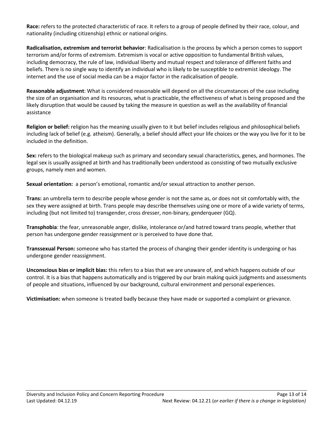**Race:** refers to the protected characteristic of race. It refers to a group of people defined by their race, colour, and nationality (including citizenship) ethnic or national origins.

**Radicalisation, extremism and terrorist behavior**: Radicalisation is the process by which a person comes to support terrorism and/or forms of extremism. Extremism is vocal or active opposition to fundamental British values, including democracy, the rule of law, individual liberty and mutual respect and tolerance of different faiths and beliefs. There is no single way to identify an individual who is likely to be susceptible to extremist ideology. The internet and the use of social media can be a major factor in the radicalisation of people.

**Reasonable adjustment**: What is considered reasonable will depend on all the circumstances of the case including the size of an organisation and its resources, what is practicable, the effectiveness of what is being proposed and the likely disruption that would be caused by taking the measure in question as well as the availability of financial assistance

**Religion or belief:** religion has the meaning usually given to it but belief includes religious and philosophical beliefs including lack of belief (e.g. atheism). Generally, a belief should affect your life choices or the way you live for it to be included in the definition.

**Sex:** refers to the biological makeup such as primary and secondary sexual characteristics, genes, and hormones. The legal sex is usually assigned at birth and has traditionally been understood as consisting of two mutually exclusive groups, namely men and women.

**Sexual orientation:** a person's emotional, romantic and/or sexual attraction to another person.

**Trans:** an umbrella term to describe people whose gender is not the same as, or does not sit comfortably with, the sex they were assigned at birth. Trans people may describe themselves using one or more of a wide variety of terms, including (but not limited to) transgender, cross dresser, non-binary, genderqueer (GQ).

**Transphobia**: the fear, unreasonable anger, dislike, intolerance or/and hatred toward trans people, whether that person has undergone gender reassignment or is perceived to have done that.

**Transsexual Person:** someone who has started the process of changing their gender identity is undergoing or has undergone gender reassignment.

**Unconscious bias or implicit bias:** this refers to a bias that we are unaware of, and which happens outside of our control. It is a bias that happens automatically and is triggered by our brain making quick judgments and assessments of people and situations, influenced by our background, cultural environment and personal experiences.

**Victimisation:** when someone is treated badly because they have made or supported a complaint or grievance.